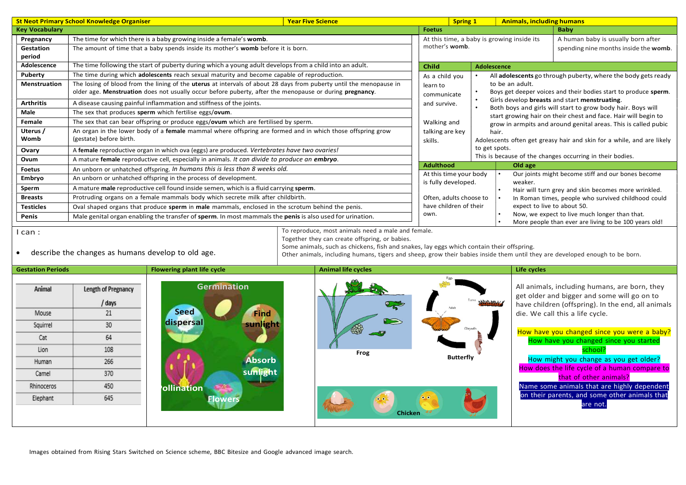| <b>Key Vocabulary</b><br><b>Baby</b><br><b>Foetus</b><br>A human baby is usually born after<br>The time for which there is a baby growing inside a female's womb.<br>At this time, a baby is growing inside its<br>Pregnancy<br>mother's womb.<br>The amount of time that a baby spends inside its mother's womb before it is born.<br>spending nine months inside the womb.<br>Gestation<br>period<br>Adolescence<br>The time following the start of puberty during which a young adult develops from a child into an adult.<br><b>Child</b><br><b>Adolescence</b><br>The time during which adolescents reach sexual maturity and become capable of reproduction.<br>Puberty<br>As a child you<br>All adolescents go through puberty, where the body gets ready<br>The losing of blood from the lining of the uterus at intervals of about 28 days from puberty until the menopause in<br><b>Menstruation</b><br>to be an adult.<br>learn to<br>older age. Menstruation does not usually occur before puberty, after the menopause or during pregnancy.<br>Boys get deeper voices and their bodies start to produce sperm.<br>communicate<br>Girls develop breasts and start menstruating.<br><b>Arthritis</b><br>A disease causing painful inflammation and stiffness of the joints.<br>and survive.<br>Both boys and girls will start to grow body hair. Boys will<br>Male<br>The sex that produces sperm which fertilise eggs/ovum.<br>start growing hair on their chest and face. Hair will begin to<br>Female<br>The sex that can bear offspring or produce eggs/ovum which are fertilised by sperm.<br>Walking and<br>grow in armpits and around genital areas. This is called pubic<br>An organ in the lower body of a female mammal where offspring are formed and in which those offspring grow<br>Uterus /<br>talking are key<br>hair.<br>Womb<br>(gestate) before birth.<br>Adolescents often get greasy hair and skin for a while, and are likely<br>skills.<br>to get spots.<br>Ovary<br>A female reproductive organ in which ova (eggs) are produced. Vertebrates have two ovaries!<br>This is because of the changes occurring in their bodies.<br>Ovum<br>A mature female reproductive cell, especially in animals. It can divide to produce an embryo.<br><b>Adulthood</b><br>Old age<br><b>Foetus</b><br>An unborn or unhatched offspring. In humans this is less than 8 weeks old.<br>Our joints might become stiff and our bones become<br>At this time your body<br>Embryo<br>An unborn or unhatched offspring in the process of development.<br>is fully developed.<br>weaker.<br>A mature male reproductive cell found inside semen, which is a fluid carrying sperm.<br>Sperm<br>Hair will turn grey and skin becomes more wrinkled.<br><b>Breasts</b><br>Protruding organs on a female mammals body which secrete milk after childbirth.<br>Often, adults choose to<br>In Roman times, people who survived childhood could<br>have children of their<br>expect to live to about 50.<br><b>Testicles</b><br>Oval shaped organs that produce sperm in male mammals, enclosed in the scrotum behind the penis.<br>Now, we expect to live much longer than that.<br>own.<br>Penis<br>Male genital organ enabling the transfer of sperm. In most mammals the penis is also used for urination.<br>More people than ever are living to be 100 years old!<br>To reproduce, most animals need a male and female.<br>$l$ can :<br>Together they can create offspring, or babies.<br>Some animals, such as chickens, fish and snakes, lay eggs which contain their offspring.<br>describe the changes as humans develop to old age.<br>$\bullet$<br>Other animals, including humans, tigers and sheep, grow their babies inside them until they are developed enough to be born.<br><b>Flowering plant life cycle</b><br><b>Animal life cycles</b><br><b>Gestation Periods</b><br>Life cycles<br><b>Germination</b><br>All animals, including humans, are born, they<br>Animal<br>Length of Pregnancy<br>get older and bigger and some will go on to<br>/ days<br>have children (offspring). In the end, all animals<br><b>Seed</b><br>21<br>Mouse<br>Find<br>die. We call this a life cycle.<br>dispersal<br>sunlight<br>30<br>Squirrel<br>How have you changed since you were a baby?<br>64<br>Cat<br>How have you changed since you started<br>108<br>Lion<br>school?<br>Frog<br><b>Butterfly</b><br>How might you change as you get older?<br><b>Absorb</b><br>266<br>Human<br>How does the life cycle of a human compare to<br>sunlight<br>370<br>Camel<br>that of other animals?<br>450<br>Name some animals that are highly dependent<br>Rhinoceros<br><b>ollination</b><br>on their parents, and some other animals that<br>645<br>Elephant<br>Flowers | are not. | <b>St Neot Primary School Knowledge Organiser</b> |  |  | <b>Year Five Science</b> |  |  | <b>Spring 1</b> | <b>Animals, including humans</b> |  |  |  |
|--------------------------------------------------------------------------------------------------------------------------------------------------------------------------------------------------------------------------------------------------------------------------------------------------------------------------------------------------------------------------------------------------------------------------------------------------------------------------------------------------------------------------------------------------------------------------------------------------------------------------------------------------------------------------------------------------------------------------------------------------------------------------------------------------------------------------------------------------------------------------------------------------------------------------------------------------------------------------------------------------------------------------------------------------------------------------------------------------------------------------------------------------------------------------------------------------------------------------------------------------------------------------------------------------------------------------------------------------------------------------------------------------------------------------------------------------------------------------------------------------------------------------------------------------------------------------------------------------------------------------------------------------------------------------------------------------------------------------------------------------------------------------------------------------------------------------------------------------------------------------------------------------------------------------------------------------------------------------------------------------------------------------------------------------------------------------------------------------------------------------------------------------------------------------------------------------------------------------------------------------------------------------------------------------------------------------------------------------------------------------------------------------------------------------------------------------------------------------------------------------------------------------------------------------------------------------------------------------------------------------------------------------------------------------------------------------------------------------------------------------------------------------------------------------------------------------------------------------------------------------------------------------------------------------------------------------------------------------------------------------------------------------------------------------------------------------------------------------------------------------------------------------------------------------------------------------------------------------------------------------------------------------------------------------------------------------------------------------------------------------------------------------------------------------------------------------------------------------------------------------------------------------------------------------------------------------------------------------------------------------------------------------------------------------------------------------------------------------------------------------------------------------------------------------------------------------------------------------------------------------------------------------------------------------------------------------------------------------------------------------------------------------------------------------------------------------------------------------------------------------------------------------------------------------------------------------------------------------------------------------------------------------------------------------------------------------------------------------------------------------------------------------------------------------------------------------------------------------------------------------------------------------------------------------------------------------------------------------------------------------------------------------------------------------------------------------------------------------------------------------------------------------------|----------|---------------------------------------------------|--|--|--------------------------|--|--|-----------------|----------------------------------|--|--|--|
|                                                                                                                                                                                                                                                                                                                                                                                                                                                                                                                                                                                                                                                                                                                                                                                                                                                                                                                                                                                                                                                                                                                                                                                                                                                                                                                                                                                                                                                                                                                                                                                                                                                                                                                                                                                                                                                                                                                                                                                                                                                                                                                                                                                                                                                                                                                                                                                                                                                                                                                                                                                                                                                                                                                                                                                                                                                                                                                                                                                                                                                                                                                                                                                                                                                                                                                                                                                                                                                                                                                                                                                                                                                                                                                                                                                                                                                                                                                                                                                                                                                                                                                                                                                                                                                                                                                                                                                                                                                                                                                                                                                                                                                                                                                                                                                |          |                                                   |  |  |                          |  |  |                 |                                  |  |  |  |
|                                                                                                                                                                                                                                                                                                                                                                                                                                                                                                                                                                                                                                                                                                                                                                                                                                                                                                                                                                                                                                                                                                                                                                                                                                                                                                                                                                                                                                                                                                                                                                                                                                                                                                                                                                                                                                                                                                                                                                                                                                                                                                                                                                                                                                                                                                                                                                                                                                                                                                                                                                                                                                                                                                                                                                                                                                                                                                                                                                                                                                                                                                                                                                                                                                                                                                                                                                                                                                                                                                                                                                                                                                                                                                                                                                                                                                                                                                                                                                                                                                                                                                                                                                                                                                                                                                                                                                                                                                                                                                                                                                                                                                                                                                                                                                                |          |                                                   |  |  |                          |  |  |                 |                                  |  |  |  |
|                                                                                                                                                                                                                                                                                                                                                                                                                                                                                                                                                                                                                                                                                                                                                                                                                                                                                                                                                                                                                                                                                                                                                                                                                                                                                                                                                                                                                                                                                                                                                                                                                                                                                                                                                                                                                                                                                                                                                                                                                                                                                                                                                                                                                                                                                                                                                                                                                                                                                                                                                                                                                                                                                                                                                                                                                                                                                                                                                                                                                                                                                                                                                                                                                                                                                                                                                                                                                                                                                                                                                                                                                                                                                                                                                                                                                                                                                                                                                                                                                                                                                                                                                                                                                                                                                                                                                                                                                                                                                                                                                                                                                                                                                                                                                                                |          |                                                   |  |  |                          |  |  |                 |                                  |  |  |  |
|                                                                                                                                                                                                                                                                                                                                                                                                                                                                                                                                                                                                                                                                                                                                                                                                                                                                                                                                                                                                                                                                                                                                                                                                                                                                                                                                                                                                                                                                                                                                                                                                                                                                                                                                                                                                                                                                                                                                                                                                                                                                                                                                                                                                                                                                                                                                                                                                                                                                                                                                                                                                                                                                                                                                                                                                                                                                                                                                                                                                                                                                                                                                                                                                                                                                                                                                                                                                                                                                                                                                                                                                                                                                                                                                                                                                                                                                                                                                                                                                                                                                                                                                                                                                                                                                                                                                                                                                                                                                                                                                                                                                                                                                                                                                                                                |          |                                                   |  |  |                          |  |  |                 |                                  |  |  |  |
|                                                                                                                                                                                                                                                                                                                                                                                                                                                                                                                                                                                                                                                                                                                                                                                                                                                                                                                                                                                                                                                                                                                                                                                                                                                                                                                                                                                                                                                                                                                                                                                                                                                                                                                                                                                                                                                                                                                                                                                                                                                                                                                                                                                                                                                                                                                                                                                                                                                                                                                                                                                                                                                                                                                                                                                                                                                                                                                                                                                                                                                                                                                                                                                                                                                                                                                                                                                                                                                                                                                                                                                                                                                                                                                                                                                                                                                                                                                                                                                                                                                                                                                                                                                                                                                                                                                                                                                                                                                                                                                                                                                                                                                                                                                                                                                |          |                                                   |  |  |                          |  |  |                 |                                  |  |  |  |
|                                                                                                                                                                                                                                                                                                                                                                                                                                                                                                                                                                                                                                                                                                                                                                                                                                                                                                                                                                                                                                                                                                                                                                                                                                                                                                                                                                                                                                                                                                                                                                                                                                                                                                                                                                                                                                                                                                                                                                                                                                                                                                                                                                                                                                                                                                                                                                                                                                                                                                                                                                                                                                                                                                                                                                                                                                                                                                                                                                                                                                                                                                                                                                                                                                                                                                                                                                                                                                                                                                                                                                                                                                                                                                                                                                                                                                                                                                                                                                                                                                                                                                                                                                                                                                                                                                                                                                                                                                                                                                                                                                                                                                                                                                                                                                                |          |                                                   |  |  |                          |  |  |                 |                                  |  |  |  |
|                                                                                                                                                                                                                                                                                                                                                                                                                                                                                                                                                                                                                                                                                                                                                                                                                                                                                                                                                                                                                                                                                                                                                                                                                                                                                                                                                                                                                                                                                                                                                                                                                                                                                                                                                                                                                                                                                                                                                                                                                                                                                                                                                                                                                                                                                                                                                                                                                                                                                                                                                                                                                                                                                                                                                                                                                                                                                                                                                                                                                                                                                                                                                                                                                                                                                                                                                                                                                                                                                                                                                                                                                                                                                                                                                                                                                                                                                                                                                                                                                                                                                                                                                                                                                                                                                                                                                                                                                                                                                                                                                                                                                                                                                                                                                                                |          |                                                   |  |  |                          |  |  |                 |                                  |  |  |  |
|                                                                                                                                                                                                                                                                                                                                                                                                                                                                                                                                                                                                                                                                                                                                                                                                                                                                                                                                                                                                                                                                                                                                                                                                                                                                                                                                                                                                                                                                                                                                                                                                                                                                                                                                                                                                                                                                                                                                                                                                                                                                                                                                                                                                                                                                                                                                                                                                                                                                                                                                                                                                                                                                                                                                                                                                                                                                                                                                                                                                                                                                                                                                                                                                                                                                                                                                                                                                                                                                                                                                                                                                                                                                                                                                                                                                                                                                                                                                                                                                                                                                                                                                                                                                                                                                                                                                                                                                                                                                                                                                                                                                                                                                                                                                                                                |          |                                                   |  |  |                          |  |  |                 |                                  |  |  |  |
|                                                                                                                                                                                                                                                                                                                                                                                                                                                                                                                                                                                                                                                                                                                                                                                                                                                                                                                                                                                                                                                                                                                                                                                                                                                                                                                                                                                                                                                                                                                                                                                                                                                                                                                                                                                                                                                                                                                                                                                                                                                                                                                                                                                                                                                                                                                                                                                                                                                                                                                                                                                                                                                                                                                                                                                                                                                                                                                                                                                                                                                                                                                                                                                                                                                                                                                                                                                                                                                                                                                                                                                                                                                                                                                                                                                                                                                                                                                                                                                                                                                                                                                                                                                                                                                                                                                                                                                                                                                                                                                                                                                                                                                                                                                                                                                |          |                                                   |  |  |                          |  |  |                 |                                  |  |  |  |
|                                                                                                                                                                                                                                                                                                                                                                                                                                                                                                                                                                                                                                                                                                                                                                                                                                                                                                                                                                                                                                                                                                                                                                                                                                                                                                                                                                                                                                                                                                                                                                                                                                                                                                                                                                                                                                                                                                                                                                                                                                                                                                                                                                                                                                                                                                                                                                                                                                                                                                                                                                                                                                                                                                                                                                                                                                                                                                                                                                                                                                                                                                                                                                                                                                                                                                                                                                                                                                                                                                                                                                                                                                                                                                                                                                                                                                                                                                                                                                                                                                                                                                                                                                                                                                                                                                                                                                                                                                                                                                                                                                                                                                                                                                                                                                                |          |                                                   |  |  |                          |  |  |                 |                                  |  |  |  |
|                                                                                                                                                                                                                                                                                                                                                                                                                                                                                                                                                                                                                                                                                                                                                                                                                                                                                                                                                                                                                                                                                                                                                                                                                                                                                                                                                                                                                                                                                                                                                                                                                                                                                                                                                                                                                                                                                                                                                                                                                                                                                                                                                                                                                                                                                                                                                                                                                                                                                                                                                                                                                                                                                                                                                                                                                                                                                                                                                                                                                                                                                                                                                                                                                                                                                                                                                                                                                                                                                                                                                                                                                                                                                                                                                                                                                                                                                                                                                                                                                                                                                                                                                                                                                                                                                                                                                                                                                                                                                                                                                                                                                                                                                                                                                                                |          |                                                   |  |  |                          |  |  |                 |                                  |  |  |  |
|                                                                                                                                                                                                                                                                                                                                                                                                                                                                                                                                                                                                                                                                                                                                                                                                                                                                                                                                                                                                                                                                                                                                                                                                                                                                                                                                                                                                                                                                                                                                                                                                                                                                                                                                                                                                                                                                                                                                                                                                                                                                                                                                                                                                                                                                                                                                                                                                                                                                                                                                                                                                                                                                                                                                                                                                                                                                                                                                                                                                                                                                                                                                                                                                                                                                                                                                                                                                                                                                                                                                                                                                                                                                                                                                                                                                                                                                                                                                                                                                                                                                                                                                                                                                                                                                                                                                                                                                                                                                                                                                                                                                                                                                                                                                                                                |          |                                                   |  |  |                          |  |  |                 |                                  |  |  |  |
|                                                                                                                                                                                                                                                                                                                                                                                                                                                                                                                                                                                                                                                                                                                                                                                                                                                                                                                                                                                                                                                                                                                                                                                                                                                                                                                                                                                                                                                                                                                                                                                                                                                                                                                                                                                                                                                                                                                                                                                                                                                                                                                                                                                                                                                                                                                                                                                                                                                                                                                                                                                                                                                                                                                                                                                                                                                                                                                                                                                                                                                                                                                                                                                                                                                                                                                                                                                                                                                                                                                                                                                                                                                                                                                                                                                                                                                                                                                                                                                                                                                                                                                                                                                                                                                                                                                                                                                                                                                                                                                                                                                                                                                                                                                                                                                |          |                                                   |  |  |                          |  |  |                 |                                  |  |  |  |
|                                                                                                                                                                                                                                                                                                                                                                                                                                                                                                                                                                                                                                                                                                                                                                                                                                                                                                                                                                                                                                                                                                                                                                                                                                                                                                                                                                                                                                                                                                                                                                                                                                                                                                                                                                                                                                                                                                                                                                                                                                                                                                                                                                                                                                                                                                                                                                                                                                                                                                                                                                                                                                                                                                                                                                                                                                                                                                                                                                                                                                                                                                                                                                                                                                                                                                                                                                                                                                                                                                                                                                                                                                                                                                                                                                                                                                                                                                                                                                                                                                                                                                                                                                                                                                                                                                                                                                                                                                                                                                                                                                                                                                                                                                                                                                                |          |                                                   |  |  |                          |  |  |                 |                                  |  |  |  |
|                                                                                                                                                                                                                                                                                                                                                                                                                                                                                                                                                                                                                                                                                                                                                                                                                                                                                                                                                                                                                                                                                                                                                                                                                                                                                                                                                                                                                                                                                                                                                                                                                                                                                                                                                                                                                                                                                                                                                                                                                                                                                                                                                                                                                                                                                                                                                                                                                                                                                                                                                                                                                                                                                                                                                                                                                                                                                                                                                                                                                                                                                                                                                                                                                                                                                                                                                                                                                                                                                                                                                                                                                                                                                                                                                                                                                                                                                                                                                                                                                                                                                                                                                                                                                                                                                                                                                                                                                                                                                                                                                                                                                                                                                                                                                                                |          |                                                   |  |  |                          |  |  |                 |                                  |  |  |  |
|                                                                                                                                                                                                                                                                                                                                                                                                                                                                                                                                                                                                                                                                                                                                                                                                                                                                                                                                                                                                                                                                                                                                                                                                                                                                                                                                                                                                                                                                                                                                                                                                                                                                                                                                                                                                                                                                                                                                                                                                                                                                                                                                                                                                                                                                                                                                                                                                                                                                                                                                                                                                                                                                                                                                                                                                                                                                                                                                                                                                                                                                                                                                                                                                                                                                                                                                                                                                                                                                                                                                                                                                                                                                                                                                                                                                                                                                                                                                                                                                                                                                                                                                                                                                                                                                                                                                                                                                                                                                                                                                                                                                                                                                                                                                                                                |          |                                                   |  |  |                          |  |  |                 |                                  |  |  |  |
|                                                                                                                                                                                                                                                                                                                                                                                                                                                                                                                                                                                                                                                                                                                                                                                                                                                                                                                                                                                                                                                                                                                                                                                                                                                                                                                                                                                                                                                                                                                                                                                                                                                                                                                                                                                                                                                                                                                                                                                                                                                                                                                                                                                                                                                                                                                                                                                                                                                                                                                                                                                                                                                                                                                                                                                                                                                                                                                                                                                                                                                                                                                                                                                                                                                                                                                                                                                                                                                                                                                                                                                                                                                                                                                                                                                                                                                                                                                                                                                                                                                                                                                                                                                                                                                                                                                                                                                                                                                                                                                                                                                                                                                                                                                                                                                |          |                                                   |  |  |                          |  |  |                 |                                  |  |  |  |
|                                                                                                                                                                                                                                                                                                                                                                                                                                                                                                                                                                                                                                                                                                                                                                                                                                                                                                                                                                                                                                                                                                                                                                                                                                                                                                                                                                                                                                                                                                                                                                                                                                                                                                                                                                                                                                                                                                                                                                                                                                                                                                                                                                                                                                                                                                                                                                                                                                                                                                                                                                                                                                                                                                                                                                                                                                                                                                                                                                                                                                                                                                                                                                                                                                                                                                                                                                                                                                                                                                                                                                                                                                                                                                                                                                                                                                                                                                                                                                                                                                                                                                                                                                                                                                                                                                                                                                                                                                                                                                                                                                                                                                                                                                                                                                                |          |                                                   |  |  |                          |  |  |                 |                                  |  |  |  |
|                                                                                                                                                                                                                                                                                                                                                                                                                                                                                                                                                                                                                                                                                                                                                                                                                                                                                                                                                                                                                                                                                                                                                                                                                                                                                                                                                                                                                                                                                                                                                                                                                                                                                                                                                                                                                                                                                                                                                                                                                                                                                                                                                                                                                                                                                                                                                                                                                                                                                                                                                                                                                                                                                                                                                                                                                                                                                                                                                                                                                                                                                                                                                                                                                                                                                                                                                                                                                                                                                                                                                                                                                                                                                                                                                                                                                                                                                                                                                                                                                                                                                                                                                                                                                                                                                                                                                                                                                                                                                                                                                                                                                                                                                                                                                                                |          |                                                   |  |  |                          |  |  |                 |                                  |  |  |  |
|                                                                                                                                                                                                                                                                                                                                                                                                                                                                                                                                                                                                                                                                                                                                                                                                                                                                                                                                                                                                                                                                                                                                                                                                                                                                                                                                                                                                                                                                                                                                                                                                                                                                                                                                                                                                                                                                                                                                                                                                                                                                                                                                                                                                                                                                                                                                                                                                                                                                                                                                                                                                                                                                                                                                                                                                                                                                                                                                                                                                                                                                                                                                                                                                                                                                                                                                                                                                                                                                                                                                                                                                                                                                                                                                                                                                                                                                                                                                                                                                                                                                                                                                                                                                                                                                                                                                                                                                                                                                                                                                                                                                                                                                                                                                                                                |          |                                                   |  |  |                          |  |  |                 |                                  |  |  |  |
|                                                                                                                                                                                                                                                                                                                                                                                                                                                                                                                                                                                                                                                                                                                                                                                                                                                                                                                                                                                                                                                                                                                                                                                                                                                                                                                                                                                                                                                                                                                                                                                                                                                                                                                                                                                                                                                                                                                                                                                                                                                                                                                                                                                                                                                                                                                                                                                                                                                                                                                                                                                                                                                                                                                                                                                                                                                                                                                                                                                                                                                                                                                                                                                                                                                                                                                                                                                                                                                                                                                                                                                                                                                                                                                                                                                                                                                                                                                                                                                                                                                                                                                                                                                                                                                                                                                                                                                                                                                                                                                                                                                                                                                                                                                                                                                |          |                                                   |  |  |                          |  |  |                 |                                  |  |  |  |
|                                                                                                                                                                                                                                                                                                                                                                                                                                                                                                                                                                                                                                                                                                                                                                                                                                                                                                                                                                                                                                                                                                                                                                                                                                                                                                                                                                                                                                                                                                                                                                                                                                                                                                                                                                                                                                                                                                                                                                                                                                                                                                                                                                                                                                                                                                                                                                                                                                                                                                                                                                                                                                                                                                                                                                                                                                                                                                                                                                                                                                                                                                                                                                                                                                                                                                                                                                                                                                                                                                                                                                                                                                                                                                                                                                                                                                                                                                                                                                                                                                                                                                                                                                                                                                                                                                                                                                                                                                                                                                                                                                                                                                                                                                                                                                                |          |                                                   |  |  |                          |  |  |                 |                                  |  |  |  |
|                                                                                                                                                                                                                                                                                                                                                                                                                                                                                                                                                                                                                                                                                                                                                                                                                                                                                                                                                                                                                                                                                                                                                                                                                                                                                                                                                                                                                                                                                                                                                                                                                                                                                                                                                                                                                                                                                                                                                                                                                                                                                                                                                                                                                                                                                                                                                                                                                                                                                                                                                                                                                                                                                                                                                                                                                                                                                                                                                                                                                                                                                                                                                                                                                                                                                                                                                                                                                                                                                                                                                                                                                                                                                                                                                                                                                                                                                                                                                                                                                                                                                                                                                                                                                                                                                                                                                                                                                                                                                                                                                                                                                                                                                                                                                                                |          |                                                   |  |  |                          |  |  |                 |                                  |  |  |  |

Images obtained from Rising Stars Switched on Science scheme, BBC Bitesize and Google advanced image search.